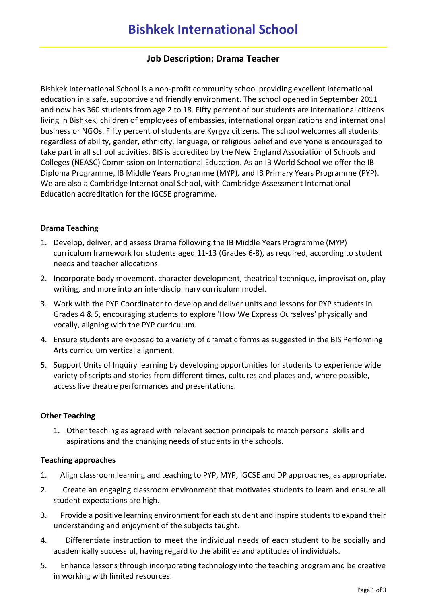# **Job Description: Drama Teacher**

Bishkek International School is a non-profit community school providing excellent international education in a safe, supportive and friendly environment. The school opened in September 2011 and now has 360 students from age 2 to 18. Fifty percent of our students are international citizens living in Bishkek, children of employees of embassies, international organizations and international business or NGOs. Fifty percent of students are Kyrgyz citizens. The school welcomes all students regardless of ability, gender, ethnicity, language, or religious belief and everyone is encouraged to take part in all school activities. BIS is accredited by the New England Association of Schools and Colleges (NEASC) Commission on International Education. As an IB World School we offer the IB Diploma Programme, IB Middle Years Programme (MYP), and IB Primary Years Programme (PYP). We are also a Cambridge International School, with Cambridge Assessment International Education accreditation for the IGCSE programme.

# **Drama Teaching**

- 1. Develop, deliver, and assess Drama following the IB Middle Years Programme (MYP) curriculum framework for students aged 11-13 (Grades 6-8), as required, according to student needs and teacher allocations.
- 2. Incorporate body movement, character development, theatrical technique, improvisation, play writing, and more into an interdisciplinary curriculum model.
- 3. Work with the PYP Coordinator to develop and deliver units and lessons for PYP students in Grades 4 & 5, encouraging students to explore 'How We Express Ourselves' physically and vocally, aligning with the PYP curriculum.
- 4. Ensure students are exposed to a variety of dramatic forms as suggested in the BIS Performing Arts curriculum vertical alignment.
- 5. Support Units of Inquiry learning by developing opportunities for students to experience wide variety of scripts and stories from different times, cultures and places and, where possible, access live theatre performances and presentations.

## **Other Teaching**

1. Other teaching as agreed with relevant section principals to match personal skills and aspirations and the changing needs of students in the schools.

## **Teaching approaches**

- 1. Align classroom learning and teaching to PYP, MYP, IGCSE and DP approaches, as appropriate.
- 2. Create an engaging classroom environment that motivates students to learn and ensure all student expectations are high.
- 3. Provide a positive learning environment for each student and inspire students to expand their understanding and enjoyment of the subjects taught.
- 4. Differentiate instruction to meet the individual needs of each student to be socially and academically successful, having regard to the abilities and aptitudes of individuals.
- 5. Enhance lessons through incorporating technology into the teaching program and be creative in working with limited resources.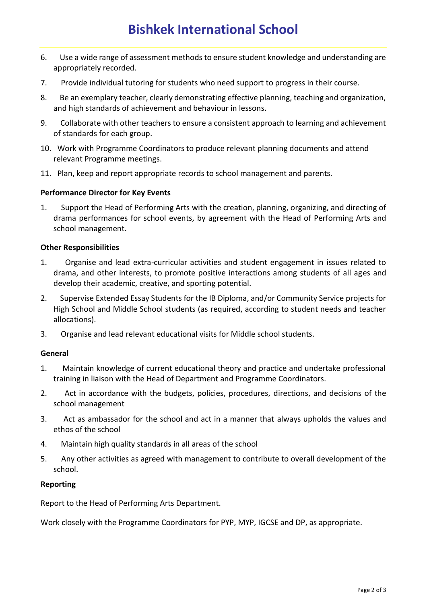- 6. Use a wide range of assessment methods to ensure student knowledge and understanding are appropriately recorded.
- 7. Provide individual tutoring for students who need support to progress in their course.
- 8. Be an exemplary teacher, clearly demonstrating effective planning, teaching and organization, and high standards of achievement and behaviour in lessons.
- 9. Collaborate with other teachers to ensure a consistent approach to learning and achievement of standards for each group.
- 10. Work with Programme Coordinators to produce relevant planning documents and attend relevant Programme meetings.
- 11. Plan, keep and report appropriate records to school management and parents.

## **Performance Director for Key Events**

1. Support the Head of Performing Arts with the creation, planning, organizing, and directing of drama performances for school events, by agreement with the Head of Performing Arts and school management.

#### **Other Responsibilities**

- 1. Organise and lead extra-curricular activities and student engagement in issues related to drama, and other interests, to promote positive interactions among students of all ages and develop their academic, creative, and sporting potential.
- 2. Supervise Extended Essay Students for the IB Diploma, and/or Community Service projects for High School and Middle School students (as required, according to student needs and teacher allocations).
- 3. Organise and lead relevant educational visits for Middle school students.

#### **General**

- 1. Maintain knowledge of current educational theory and practice and undertake professional training in liaison with the Head of Department and Programme Coordinators.
- 2. Act in accordance with the budgets, policies, procedures, directions, and decisions of the school management
- 3. Act as ambassador for the school and act in a manner that always upholds the values and ethos of the school
- 4. Maintain high quality standards in all areas of the school
- 5. Any other activities as agreed with management to contribute to overall development of the school.

#### **Reporting**

Report to the Head of Performing Arts Department.

Work closely with the Programme Coordinators for PYP, MYP, IGCSE and DP, as appropriate.